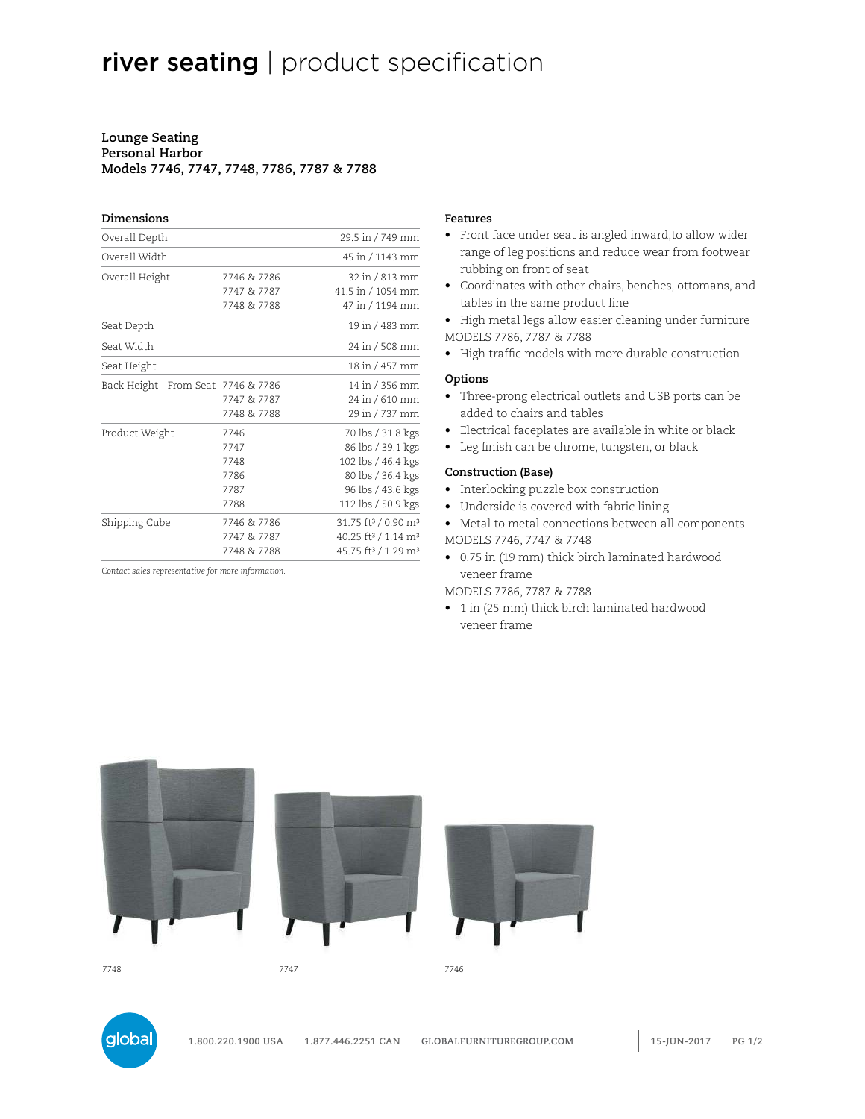# river seating | product specification

#### **Lounge Seating Personal Harbor Models 7746, 7747, 7748, 7786, 7787 & 7788**

# **Dimensions**

| Overall Depth                       |             | 29.5 in / 749 mm                            |
|-------------------------------------|-------------|---------------------------------------------|
| Overall Width                       |             | 45 in / 1143 mm                             |
| Overall Height                      | 7746 & 7786 | 32 in / 813 mm                              |
|                                     | 7747 & 7787 | 41.5 in / 1054 mm                           |
|                                     | 7748 & 7788 | 47 in / 1194 mm                             |
| Seat Depth                          |             | 19 in / 483 mm                              |
| Seat Width                          |             | 24 in / 508 mm                              |
| Seat Height                         |             | 18 in / 457 mm                              |
| Back Height - From Seat 7746 & 7786 |             | 14 in / 356 mm                              |
|                                     | 7747 & 7787 | 24 in / 610 mm                              |
|                                     | 7748 & 7788 | 29 in / 737 mm                              |
| Product Weight                      | 7746        | 70 lbs / 31.8 kgs                           |
|                                     | 7747        | 86 lbs / 39.1 kgs                           |
|                                     | 7748        | 102 lbs / 46.4 kgs                          |
|                                     | 7786        | 80 lbs / 36.4 kgs                           |
|                                     | 7787        | 96 lbs / 43.6 kgs                           |
|                                     | 7788        | 112 lbs / 50.9 kgs                          |
| Shipping Cube                       | 7746 & 7786 | 31.75 ft <sup>3</sup> / 0.90 m <sup>3</sup> |
|                                     | 7747 & 7787 | 40.25 ft <sup>3</sup> / 1.14 m <sup>3</sup> |
|                                     | 7748 & 7788 | 45.75 ft <sup>3</sup> / 1.29 m <sup>3</sup> |

*Contact sales representative for more information.*

#### **Features**

- Front face under seat is angled inward,to allow wider range of leg positions and reduce wear from footwear rubbing on front of seat
- Coordinates with other chairs, benches, ottomans, and tables in the same product line
- High metal legs allow easier cleaning under furniture MODELS 7786, 7787 & 7788
- High traffic models with more durable construction

#### **Options**

- Three-prong electrical outlets and USB ports can be added to chairs and tables
- Electrical faceplates are available in white or black
- Leg finish can be chrome, tungsten, or black

#### **Construction (Base)**

- Interlocking puzzle box construction
- Underside is covered with fabric lining
- Metal to metal connections between all components MODELS 7746, 7747 & 7748
- 0.75 in (19 mm) thick birch laminated hardwood veneer frame

#### MODELS 7786, 7787 & 7788

• 1 in (25 mm) thick birch laminated hardwood veneer frame